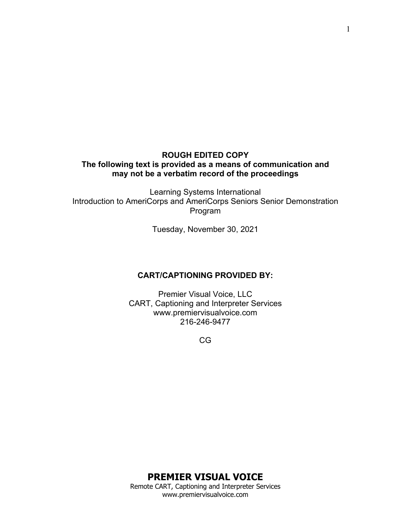## **ROUGH EDITED COPY The following text is provided as a means of communication and may not be a verbatim record of the proceedings**

Learning Systems International Introduction to AmeriCorps and AmeriCorps Seniors Senior Demonstration Program

Tuesday, November 30, 2021

#### **CART/CAPTIONING PROVIDED BY:**

Premier Visual Voice, LLC CART, Captioning and Interpreter Services www.premiervisualvoice.com 216-246-9477

CG

# **PREMIER VISUAL VOICE**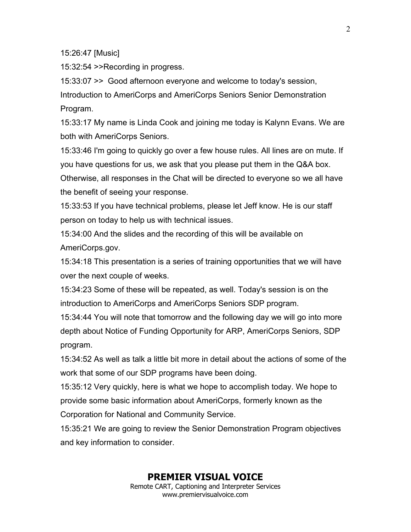15:26:47 [Music]

15:32:54 >>Recording in progress.

15:33:07 >> Good afternoon everyone and welcome to today's session, Introduction to AmeriCorps and AmeriCorps Seniors Senior Demonstration Program.

15:33:17 My name is Linda Cook and joining me today is Kalynn Evans. We are both with AmeriCorps Seniors.

15:33:46 I'm going to quickly go over a few house rules. All lines are on mute. If you have questions for us, we ask that you please put them in the Q&A box.

Otherwise, all responses in the Chat will be directed to everyone so we all have the benefit of seeing your response.

15:33:53 If you have technical problems, please let Jeff know. He is our staff person on today to help us with technical issues.

15:34:00 And the slides and the recording of this will be available on AmeriCorps.gov.

15:34:18 This presentation is a series of training opportunities that we will have over the next couple of weeks.

15:34:23 Some of these will be repeated, as well. Today's session is on the introduction to AmeriCorps and AmeriCorps Seniors SDP program.

15:34:44 You will note that tomorrow and the following day we will go into more depth about Notice of Funding Opportunity for ARP, AmeriCorps Seniors, SDP program.

15:34:52 As well as talk a little bit more in detail about the actions of some of the work that some of our SDP programs have been doing.

15:35:12 Very quickly, here is what we hope to accomplish today. We hope to provide some basic information about AmeriCorps, formerly known as the Corporation for National and Community Service.

15:35:21 We are going to review the Senior Demonstration Program objectives and key information to consider.

## **PREMIER VISUAL VOICE**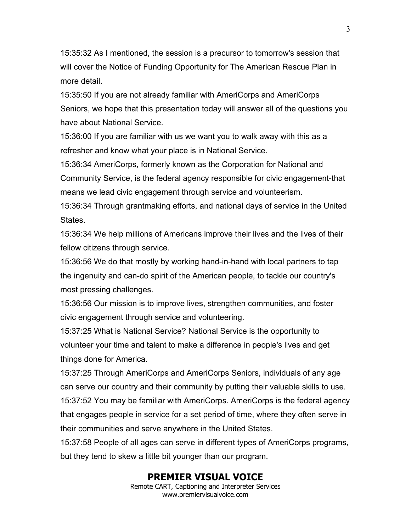15:35:32 As I mentioned, the session is a precursor to tomorrow's session that will cover the Notice of Funding Opportunity for The American Rescue Plan in more detail.

15:35:50 If you are not already familiar with AmeriCorps and AmeriCorps Seniors, we hope that this presentation today will answer all of the questions you have about National Service.

15:36:00 If you are familiar with us we want you to walk away with this as a refresher and know what your place is in National Service.

15:36:34 AmeriCorps, formerly known as the Corporation for National and Community Service, is the federal agency responsible for civic engagement-that means we lead civic engagement through service and volunteerism.

15:36:34 Through grantmaking efforts, and national days of service in the United States.

15:36:34 We help millions of Americans improve their lives and the lives of their fellow citizens through service.

15:36:56 We do that mostly by working hand-in-hand with local partners to tap the ingenuity and can-do spirit of the American people, to tackle our country's most pressing challenges.

15:36:56 Our mission is to improve lives, strengthen communities, and foster civic engagement through service and volunteering.

15:37:25 What is National Service? National Service is the opportunity to volunteer your time and talent to make a difference in people's lives and get things done for America.

15:37:25 Through AmeriCorps and AmeriCorps Seniors, individuals of any age can serve our country and their community by putting their valuable skills to use. 15:37:52 You may be familiar with AmeriCorps. AmeriCorps is the federal agency that engages people in service for a set period of time, where they often serve in their communities and serve anywhere in the United States.

15:37:58 People of all ages can serve in different types of AmeriCorps programs, but they tend to skew a little bit younger than our program.

# **PREMIER VISUAL VOICE**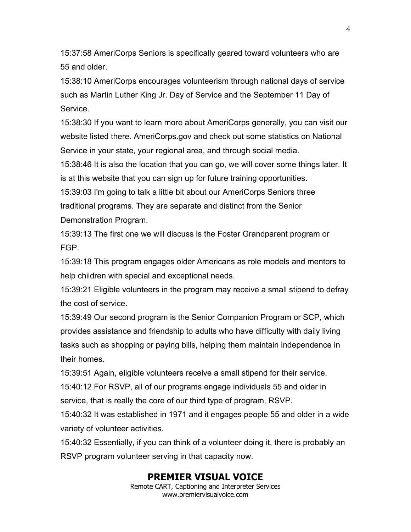15:37:58 AmeriCorps Seniors is specifically geared toward volunteers who are 55 and older.

15:38:10 AmeriCorps encourages volunteerism through national days of service such as Martin Luther King Jr. Day of Service and the September 11 Day of Service.

15:38:30 If you want to learn more about AmeriCorps generally, you can visit our website listed there. AmeriCorps.gov and check out some statistics on National Service in your state, your regional area, and through social media.

15:38:46 It is also the location that you can go, we will cover some things later. It is at this website that you can sign up for future training opportunities.

15:39:03 I'm going to talk a little bit about our AmeriCorps Seniors three traditional programs. They are separate and distinct from the Senior Demonstration Program.

15:39:13 The first one we will discuss is the Foster Grandparent program or FGP.

15:39:18 This program engages older Americans as role models and mentors to help children with special and exceptional needs.

15:39:21 Eligible volunteers in the program may receive a small stipend to defray the cost of service.

15:39:49 Our second program is the Senior Companion Program or SCP, which provides assistance and friendship to adults who have difficulty with daily living tasks such as shopping or paying bills, helping them maintain independence in their homes.

15:39:51 Again, eligible volunteers receive a small stipend for their service. 15:40:12 For RSVP, all of our programs engage individuals 55 and older in service, that is really the core of our third type of program, RSVP.

15:40:32 It was established in 1971 and it engages people 55 and older in a wide variety of volunteer activities.

15:40:32 Essentially, if you can think of a volunteer doing it, there is probably an RSVP program volunteer serving in that capacity now.

## **PREMIER VISUAL VOICE**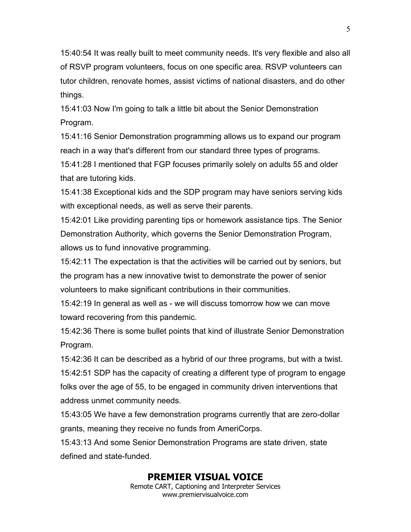15:40:54 It was really built to meet community needs. It's very flexible and also all of RSVP program volunteers, focus on one specific area. RSVP volunteers can tutor children, renovate homes, assist victims of national disasters, and do other things.

15:41:03 Now I'm going to talk a little bit about the Senior Demonstration Program.

15:41:16 Senior Demonstration programming allows us to expand our program reach in a way that's different from our standard three types of programs.

15:41:28 I mentioned that FGP focuses primarily solely on adults 55 and older that are tutoring kids.

15:41:38 Exceptional kids and the SDP program may have seniors serving kids with exceptional needs, as well as serve their parents.

15:42:01 Like providing parenting tips or homework assistance tips. The Senior Demonstration Authority, which governs the Senior Demonstration Program, allows us to fund innovative programming.

15:42:11 The expectation is that the activities will be carried out by seniors, but the program has a new innovative twist to demonstrate the power of senior volunteers to make significant contributions in their communities.

15:42:19 In general as well as - we will discuss tomorrow how we can move toward recovering from this pandemic.

15:42:36 There is some bullet points that kind of illustrate Senior Demonstration Program.

15:42:36 It can be described as a hybrid of our three programs, but with a twist. 15:42:51 SDP has the capacity of creating a different type of program to engage folks over the age of 55, to be engaged in community driven interventions that address unmet community needs.

15:43:05 We have a few demonstration programs currently that are zero-dollar grants, meaning they receive no funds from AmeriCorps.

15:43:13 And some Senior Demonstration Programs are state driven, state defined and state-funded.

# **PREMIER VISUAL VOICE**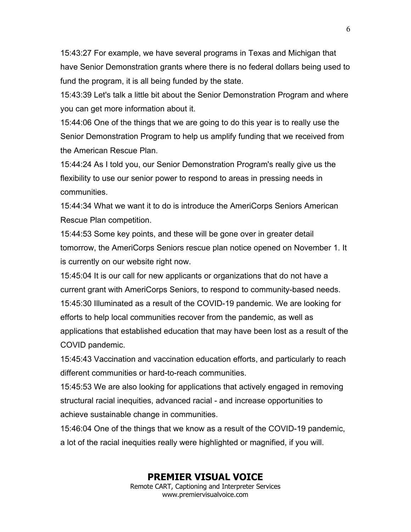15:43:27 For example, we have several programs in Texas and Michigan that have Senior Demonstration grants where there is no federal dollars being used to fund the program, it is all being funded by the state.

15:43:39 Let's talk a little bit about the Senior Demonstration Program and where you can get more information about it.

15:44:06 One of the things that we are going to do this year is to really use the Senior Demonstration Program to help us amplify funding that we received from the American Rescue Plan.

15:44:24 As I told you, our Senior Demonstration Program's really give us the flexibility to use our senior power to respond to areas in pressing needs in communities.

15:44:34 What we want it to do is introduce the AmeriCorps Seniors American Rescue Plan competition.

15:44:53 Some key points, and these will be gone over in greater detail tomorrow, the AmeriCorps Seniors rescue plan notice opened on November 1. It is currently on our website right now.

15:45:04 It is our call for new applicants or organizations that do not have a current grant with AmeriCorps Seniors, to respond to community-based needs. 15:45:30 Illuminated as a result of the COVID-19 pandemic. We are looking for efforts to help local communities recover from the pandemic, as well as applications that established education that may have been lost as a result of the COVID pandemic.

15:45:43 Vaccination and vaccination education efforts, and particularly to reach different communities or hard-to-reach communities.

15:45:53 We are also looking for applications that actively engaged in removing structural racial inequities, advanced racial - and increase opportunities to achieve sustainable change in communities.

15:46:04 One of the things that we know as a result of the COVID-19 pandemic, a lot of the racial inequities really were highlighted or magnified, if you will.

## **PREMIER VISUAL VOICE**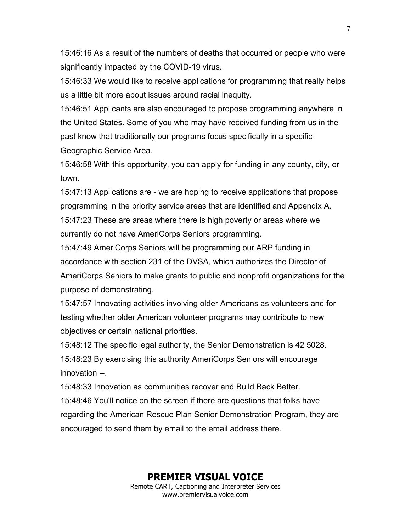15:46:16 As a result of the numbers of deaths that occurred or people who were significantly impacted by the COVID-19 virus.

15:46:33 We would like to receive applications for programming that really helps us a little bit more about issues around racial inequity.

15:46:51 Applicants are also encouraged to propose programming anywhere in the United States. Some of you who may have received funding from us in the past know that traditionally our programs focus specifically in a specific Geographic Service Area.

15:46:58 With this opportunity, you can apply for funding in any county, city, or town.

15:47:13 Applications are - we are hoping to receive applications that propose programming in the priority service areas that are identified and Appendix A. 15:47:23 These are areas where there is high poverty or areas where we currently do not have AmeriCorps Seniors programming.

15:47:49 AmeriCorps Seniors will be programming our ARP funding in accordance with section 231 of the DVSA, which authorizes the Director of AmeriCorps Seniors to make grants to public and nonprofit organizations for the purpose of demonstrating.

15:47:57 Innovating activities involving older Americans as volunteers and for testing whether older American volunteer programs may contribute to new objectives or certain national priorities.

15:48:12 The specific legal authority, the Senior Demonstration is 42 5028. 15:48:23 By exercising this authority AmeriCorps Seniors will encourage innovation --.

15:48:33 Innovation as communities recover and Build Back Better.

15:48:46 You'll notice on the screen if there are questions that folks have regarding the American Rescue Plan Senior Demonstration Program, they are encouraged to send them by email to the email address there.

#### **PREMIER VISUAL VOICE**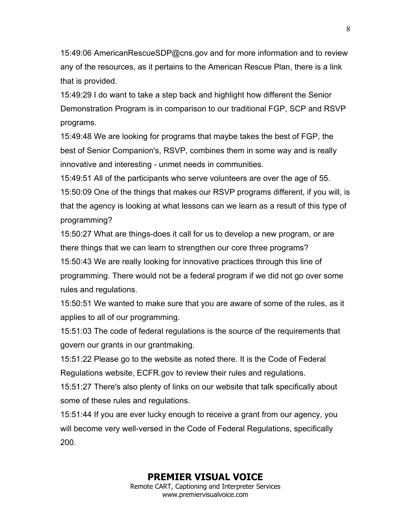15:49:06 AmericanRescueSDP@cns.gov and for more information and to review any of the resources, as it pertains to the American Rescue Plan, there is a link that is provided.

15:49:29 I do want to take a step back and highlight how different the Senior Demonstration Program is in comparison to our traditional FGP, SCP and RSVP programs.

15:49:48 We are looking for programs that maybe takes the best of FGP, the best of Senior Companion's, RSVP, combines them in some way and is really innovative and interesting - unmet needs in communities.

15:49:51 All of the participants who serve volunteers are over the age of 55. 15:50:09 One of the things that makes our RSVP programs different, if you will, is that the agency is looking at what lessons can we learn as a result of this type of programming?

15:50:27 What are things-does it call for us to develop a new program, or are there things that we can learn to strengthen our core three programs?

15:50:43 We are really looking for innovative practices through this line of programming. There would not be a federal program if we did not go over some rules and regulations.

15:50:51 We wanted to make sure that you are aware of some of the rules, as it applies to all of our programming.

15:51:03 The code of federal regulations is the source of the requirements that govern our grants in our grantmaking.

15:51:22 Please go to the website as noted there. It is the Code of Federal Regulations website, ECFR.gov to review their rules and regulations.

15:51:27 There's also plenty of links on our website that talk specifically about some of these rules and regulations.

15:51:44 If you are ever lucky enough to receive a grant from our agency, you will become very well-versed in the Code of Federal Regulations, specifically 200.

## **PREMIER VISUAL VOICE**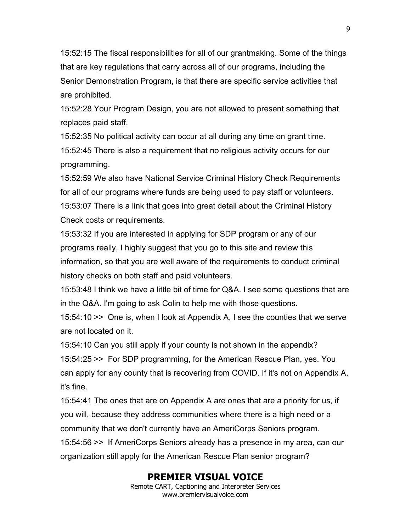15:52:15 The fiscal responsibilities for all of our grantmaking. Some of the things that are key regulations that carry across all of our programs, including the Senior Demonstration Program, is that there are specific service activities that are prohibited.

15:52:28 Your Program Design, you are not allowed to present something that replaces paid staff.

15:52:35 No political activity can occur at all during any time on grant time. 15:52:45 There is also a requirement that no religious activity occurs for our programming.

15:52:59 We also have National Service Criminal History Check Requirements for all of our programs where funds are being used to pay staff or volunteers. 15:53:07 There is a link that goes into great detail about the Criminal History Check costs or requirements.

15:53:32 If you are interested in applying for SDP program or any of our programs really, I highly suggest that you go to this site and review this information, so that you are well aware of the requirements to conduct criminal history checks on both staff and paid volunteers.

15:53:48 I think we have a little bit of time for Q&A. I see some questions that are in the Q&A. I'm going to ask Colin to help me with those questions.

15:54:10 >> One is, when I look at Appendix A, I see the counties that we serve are not located on it.

15:54:10 Can you still apply if your county is not shown in the appendix? 15:54:25 >> For SDP programming, for the American Rescue Plan, yes. You can apply for any county that is recovering from COVID. If it's not on Appendix A, it's fine.

15:54:41 The ones that are on Appendix A are ones that are a priority for us, if you will, because they address communities where there is a high need or a community that we don't currently have an AmeriCorps Seniors program. 15:54:56 >> If AmeriCorps Seniors already has a presence in my area, can our organization still apply for the American Rescue Plan senior program?

## **PREMIER VISUAL VOICE**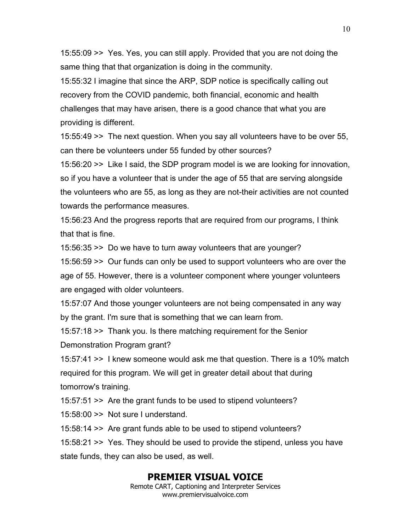15:55:09 >> Yes. Yes, you can still apply. Provided that you are not doing the same thing that that organization is doing in the community.

15:55:32 I imagine that since the ARP, SDP notice is specifically calling out recovery from the COVID pandemic, both financial, economic and health challenges that may have arisen, there is a good chance that what you are providing is different.

15:55:49 >> The next question. When you say all volunteers have to be over 55, can there be volunteers under 55 funded by other sources?

15:56:20 >> Like I said, the SDP program model is we are looking for innovation, so if you have a volunteer that is under the age of 55 that are serving alongside the volunteers who are 55, as long as they are not-their activities are not counted towards the performance measures.

15:56:23 And the progress reports that are required from our programs, I think that that is fine.

15:56:35 >> Do we have to turn away volunteers that are younger?

15:56:59 >> Our funds can only be used to support volunteers who are over the age of 55. However, there is a volunteer component where younger volunteers are engaged with older volunteers.

15:57:07 And those younger volunteers are not being compensated in any way by the grant. I'm sure that is something that we can learn from.

15:57:18 >> Thank you. Is there matching requirement for the Senior

Demonstration Program grant?

15:57:41 >> I knew someone would ask me that question. There is a 10% match required for this program. We will get in greater detail about that during tomorrow's training.

15:57:51 >> Are the grant funds to be used to stipend volunteers?

15:58:00 >> Not sure I understand.

15:58:14 >> Are grant funds able to be used to stipend volunteers?

15:58:21 >> Yes. They should be used to provide the stipend, unless you have state funds, they can also be used, as well.

# **PREMIER VISUAL VOICE**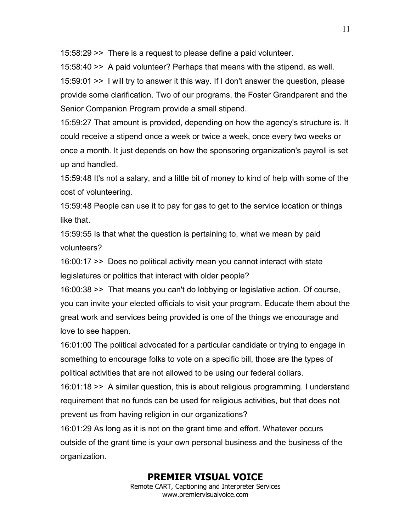15:58:29 >> There is a request to please define a paid volunteer.

15:58:40 >> A paid volunteer? Perhaps that means with the stipend, as well. 15:59:01 >> I will try to answer it this way. If I don't answer the question, please provide some clarification. Two of our programs, the Foster Grandparent and the Senior Companion Program provide a small stipend.

15:59:27 That amount is provided, depending on how the agency's structure is. It could receive a stipend once a week or twice a week, once every two weeks or once a month. It just depends on how the sponsoring organization's payroll is set up and handled.

15:59:48 It's not a salary, and a little bit of money to kind of help with some of the cost of volunteering.

15:59:48 People can use it to pay for gas to get to the service location or things like that.

15:59:55 Is that what the question is pertaining to, what we mean by paid volunteers?

16:00:17 >> Does no political activity mean you cannot interact with state legislatures or politics that interact with older people?

16:00:38 >> That means you can't do lobbying or legislative action. Of course, you can invite your elected officials to visit your program. Educate them about the great work and services being provided is one of the things we encourage and love to see happen.

16:01:00 The political advocated for a particular candidate or trying to engage in something to encourage folks to vote on a specific bill, those are the types of political activities that are not allowed to be using our federal dollars.

16:01:18 >> A similar question, this is about religious programming. I understand requirement that no funds can be used for religious activities, but that does not prevent us from having religion in our organizations?

16:01:29 As long as it is not on the grant time and effort. Whatever occurs outside of the grant time is your own personal business and the business of the organization.

# **PREMIER VISUAL VOICE**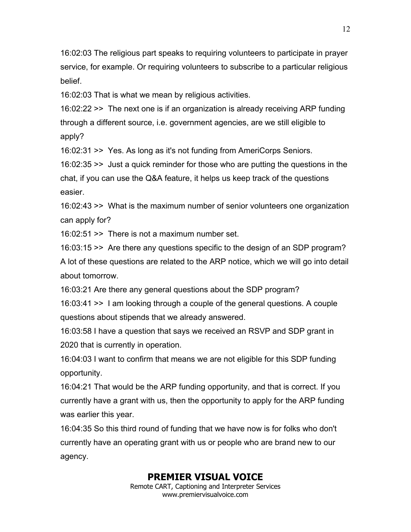16:02:03 The religious part speaks to requiring volunteers to participate in prayer service, for example. Or requiring volunteers to subscribe to a particular religious belief.

16:02:03 That is what we mean by religious activities.

16:02:22 >> The next one is if an organization is already receiving ARP funding through a different source, i.e. government agencies, are we still eligible to apply?

16:02:31 >> Yes. As long as it's not funding from AmeriCorps Seniors.

16:02:35 >> Just a quick reminder for those who are putting the questions in the chat, if you can use the Q&A feature, it helps us keep track of the questions easier.

16:02:43 >> What is the maximum number of senior volunteers one organization can apply for?

16:02:51 >> There is not a maximum number set.

16:03:15 >> Are there any questions specific to the design of an SDP program? A lot of these questions are related to the ARP notice, which we will go into detail about tomorrow.

16:03:21 Are there any general questions about the SDP program?

16:03:41 >> I am looking through a couple of the general questions. A couple questions about stipends that we already answered.

16:03:58 I have a question that says we received an RSVP and SDP grant in 2020 that is currently in operation.

16:04:03 I want to confirm that means we are not eligible for this SDP funding opportunity.

16:04:21 That would be the ARP funding opportunity, and that is correct. If you currently have a grant with us, then the opportunity to apply for the ARP funding was earlier this year.

16:04:35 So this third round of funding that we have now is for folks who don't currently have an operating grant with us or people who are brand new to our agency.

## **PREMIER VISUAL VOICE**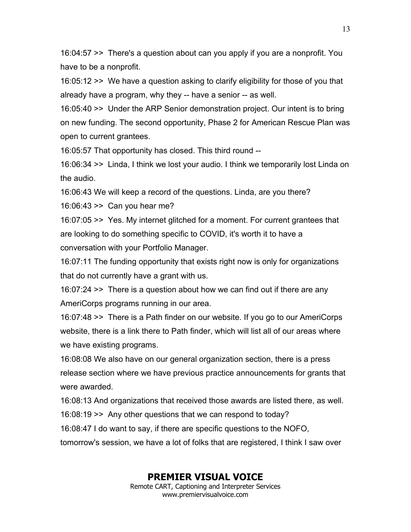16:04:57 >> There's a question about can you apply if you are a nonprofit. You have to be a nonprofit.

16:05:12 >> We have a question asking to clarify eligibility for those of you that already have a program, why they -- have a senior -- as well.

16:05:40 >> Under the ARP Senior demonstration project. Our intent is to bring on new funding. The second opportunity, Phase 2 for American Rescue Plan was open to current grantees.

16:05:57 That opportunity has closed. This third round --

16:06:34 >> Linda, I think we lost your audio. I think we temporarily lost Linda on the audio.

16:06:43 We will keep a record of the questions. Linda, are you there?

16:06:43 >> Can you hear me?

16:07:05 >> Yes. My internet glitched for a moment. For current grantees that are looking to do something specific to COVID, it's worth it to have a conversation with your Portfolio Manager.

16:07:11 The funding opportunity that exists right now is only for organizations that do not currently have a grant with us.

16:07:24 >> There is a question about how we can find out if there are any AmeriCorps programs running in our area.

16:07:48 >> There is a Path finder on our website. If you go to our AmeriCorps website, there is a link there to Path finder, which will list all of our areas where we have existing programs.

16:08:08 We also have on our general organization section, there is a press release section where we have previous practice announcements for grants that were awarded.

16:08:13 And organizations that received those awards are listed there, as well.

16:08:19 >> Any other questions that we can respond to today?

16:08:47 I do want to say, if there are specific questions to the NOFO,

tomorrow's session, we have a lot of folks that are registered, I think I saw over

## **PREMIER VISUAL VOICE**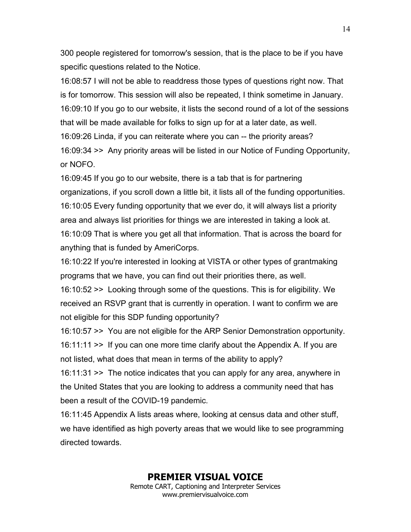300 people registered for tomorrow's session, that is the place to be if you have specific questions related to the Notice.

16:08:57 I will not be able to readdress those types of questions right now. That is for tomorrow. This session will also be repeated, I think sometime in January. 16:09:10 If you go to our website, it lists the second round of a lot of the sessions that will be made available for folks to sign up for at a later date, as well. 16:09:26 Linda, if you can reiterate where you can -- the priority areas? 16:09:34 >> Any priority areas will be listed in our Notice of Funding Opportunity, or NOFO.

16:09:45 If you go to our website, there is a tab that is for partnering organizations, if you scroll down a little bit, it lists all of the funding opportunities. 16:10:05 Every funding opportunity that we ever do, it will always list a priority area and always list priorities for things we are interested in taking a look at. 16:10:09 That is where you get all that information. That is across the board for anything that is funded by AmeriCorps.

16:10:22 If you're interested in looking at VISTA or other types of grantmaking programs that we have, you can find out their priorities there, as well.

16:10:52 >> Looking through some of the questions. This is for eligibility. We received an RSVP grant that is currently in operation. I want to confirm we are not eligible for this SDP funding opportunity?

16:10:57 >> You are not eligible for the ARP Senior Demonstration opportunity. 16:11:11 >> If you can one more time clarify about the Appendix A. If you are not listed, what does that mean in terms of the ability to apply?

16:11:31 >> The notice indicates that you can apply for any area, anywhere in the United States that you are looking to address a community need that has been a result of the COVID-19 pandemic.

16:11:45 Appendix A lists areas where, looking at census data and other stuff, we have identified as high poverty areas that we would like to see programming directed towards.

> **PREMIER VISUAL VOICE** Remote CART, Captioning and Interpreter Services www.premiervisualvoice.com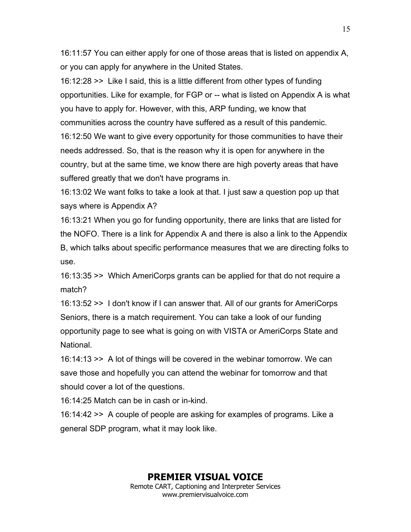16:11:57 You can either apply for one of those areas that is listed on appendix A, or you can apply for anywhere in the United States.

16:12:28 >> Like I said, this is a little different from other types of funding opportunities. Like for example, for FGP or -- what is listed on Appendix A is what you have to apply for. However, with this, ARP funding, we know that communities across the country have suffered as a result of this pandemic. 16:12:50 We want to give every opportunity for those communities to have their needs addressed. So, that is the reason why it is open for anywhere in the country, but at the same time, we know there are high poverty areas that have suffered greatly that we don't have programs in.

16:13:02 We want folks to take a look at that. I just saw a question pop up that says where is Appendix A?

16:13:21 When you go for funding opportunity, there are links that are listed for the NOFO. There is a link for Appendix A and there is also a link to the Appendix B, which talks about specific performance measures that we are directing folks to use.

16:13:35 >> Which AmeriCorps grants can be applied for that do not require a match?

16:13:52 >> I don't know if I can answer that. All of our grants for AmeriCorps Seniors, there is a match requirement. You can take a look of our funding opportunity page to see what is going on with VISTA or AmeriCorps State and National.

16:14:13 >> A lot of things will be covered in the webinar tomorrow. We can save those and hopefully you can attend the webinar for tomorrow and that should cover a lot of the questions.

16:14:25 Match can be in cash or in-kind.

16:14:42 >> A couple of people are asking for examples of programs. Like a general SDP program, what it may look like.

#### **PREMIER VISUAL VOICE**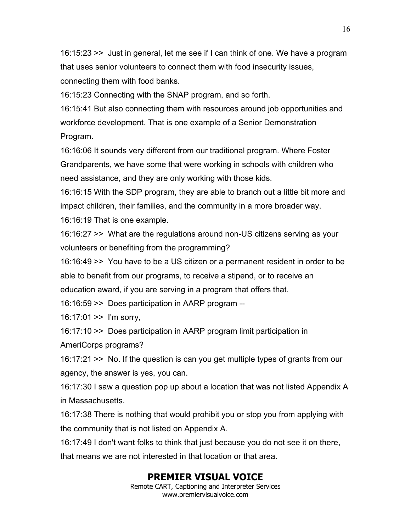16:15:23 >> Just in general, let me see if I can think of one. We have a program that uses senior volunteers to connect them with food insecurity issues, connecting them with food banks.

16:15:23 Connecting with the SNAP program, and so forth.

16:15:41 But also connecting them with resources around job opportunities and workforce development. That is one example of a Senior Demonstration Program.

16:16:06 It sounds very different from our traditional program. Where Foster Grandparents, we have some that were working in schools with children who need assistance, and they are only working with those kids.

16:16:15 With the SDP program, they are able to branch out a little bit more and impact children, their families, and the community in a more broader way. 16:16:19 That is one example.

16:16:27 >> What are the regulations around non-US citizens serving as your volunteers or benefiting from the programming?

16:16:49 >> You have to be a US citizen or a permanent resident in order to be able to benefit from our programs, to receive a stipend, or to receive an education award, if you are serving in a program that offers that.

16:16:59 >> Does participation in AARP program --

16:17:01 >> I'm sorry,

16:17:10 >> Does participation in AARP program limit participation in

AmeriCorps programs?

16:17:21 >> No. If the question is can you get multiple types of grants from our agency, the answer is yes, you can.

16:17:30 I saw a question pop up about a location that was not listed Appendix A in Massachusetts.

16:17:38 There is nothing that would prohibit you or stop you from applying with the community that is not listed on Appendix A.

16:17:49 I don't want folks to think that just because you do not see it on there, that means we are not interested in that location or that area.

# **PREMIER VISUAL VOICE**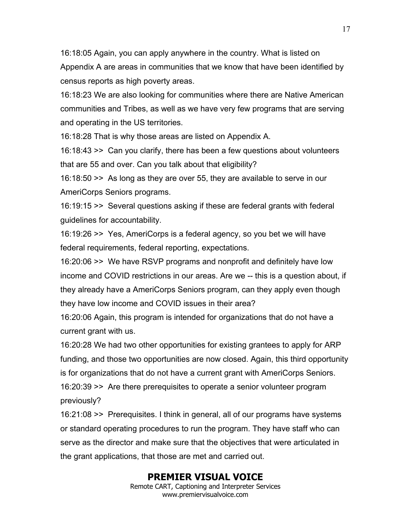16:18:05 Again, you can apply anywhere in the country. What is listed on Appendix A are areas in communities that we know that have been identified by census reports as high poverty areas.

16:18:23 We are also looking for communities where there are Native American communities and Tribes, as well as we have very few programs that are serving and operating in the US territories.

16:18:28 That is why those areas are listed on Appendix A.

16:18:43 >> Can you clarify, there has been a few questions about volunteers that are 55 and over. Can you talk about that eligibility?

16:18:50 >> As long as they are over 55, they are available to serve in our AmeriCorps Seniors programs.

16:19:15 >> Several questions asking if these are federal grants with federal guidelines for accountability.

16:19:26 >> Yes, AmeriCorps is a federal agency, so you bet we will have federal requirements, federal reporting, expectations.

16:20:06 >> We have RSVP programs and nonprofit and definitely have low income and COVID restrictions in our areas. Are we -- this is a question about, if they already have a AmeriCorps Seniors program, can they apply even though they have low income and COVID issues in their area?

16:20:06 Again, this program is intended for organizations that do not have a current grant with us.

16:20:28 We had two other opportunities for existing grantees to apply for ARP funding, and those two opportunities are now closed. Again, this third opportunity is for organizations that do not have a current grant with AmeriCorps Seniors. 16:20:39 >> Are there prerequisites to operate a senior volunteer program previously?

16:21:08 >> Prerequisites. I think in general, all of our programs have systems or standard operating procedures to run the program. They have staff who can serve as the director and make sure that the objectives that were articulated in the grant applications, that those are met and carried out.

# **PREMIER VISUAL VOICE**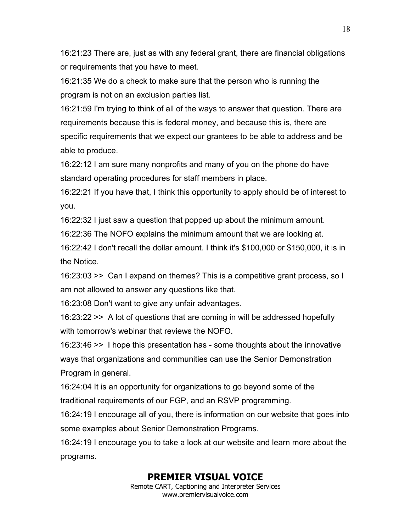16:21:23 There are, just as with any federal grant, there are financial obligations or requirements that you have to meet.

16:21:35 We do a check to make sure that the person who is running the program is not on an exclusion parties list.

16:21:59 I'm trying to think of all of the ways to answer that question. There are requirements because this is federal money, and because this is, there are specific requirements that we expect our grantees to be able to address and be able to produce.

16:22:12 I am sure many nonprofits and many of you on the phone do have standard operating procedures for staff members in place.

16:22:21 If you have that, I think this opportunity to apply should be of interest to you.

16:22:32 I just saw a question that popped up about the minimum amount.

16:22:36 The NOFO explains the minimum amount that we are looking at.

16:22:42 I don't recall the dollar amount. I think it's \$100,000 or \$150,000, it is in the Notice.

16:23:03 >> Can I expand on themes? This is a competitive grant process, so I am not allowed to answer any questions like that.

16:23:08 Don't want to give any unfair advantages.

16:23:22 >> A lot of questions that are coming in will be addressed hopefully with tomorrow's webinar that reviews the NOFO.

16:23:46 >> I hope this presentation has - some thoughts about the innovative ways that organizations and communities can use the Senior Demonstration Program in general.

16:24:04 It is an opportunity for organizations to go beyond some of the traditional requirements of our FGP, and an RSVP programming.

16:24:19 I encourage all of you, there is information on our website that goes into some examples about Senior Demonstration Programs.

16:24:19 I encourage you to take a look at our website and learn more about the programs.

# **PREMIER VISUAL VOICE**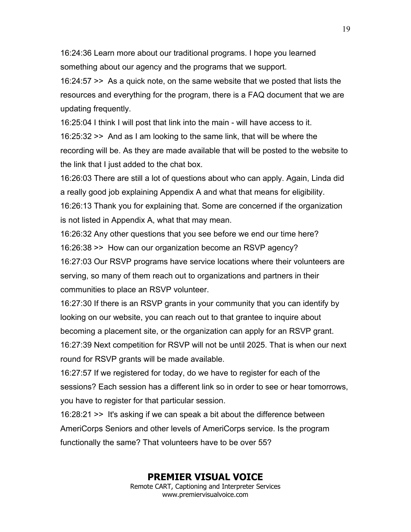16:24:36 Learn more about our traditional programs. I hope you learned something about our agency and the programs that we support.

16:24:57 >> As a quick note, on the same website that we posted that lists the resources and everything for the program, there is a FAQ document that we are updating frequently.

16:25:04 I think I will post that link into the main - will have access to it. 16:25:32 >> And as I am looking to the same link, that will be where the recording will be. As they are made available that will be posted to the website to the link that I just added to the chat box.

16:26:03 There are still a lot of questions about who can apply. Again, Linda did a really good job explaining Appendix A and what that means for eligibility. 16:26:13 Thank you for explaining that. Some are concerned if the organization is not listed in Appendix A, what that may mean.

16:26:32 Any other questions that you see before we end our time here? 16:26:38 >> How can our organization become an RSVP agency? 16:27:03 Our RSVP programs have service locations where their volunteers are

serving, so many of them reach out to organizations and partners in their communities to place an RSVP volunteer.

16:27:30 If there is an RSVP grants in your community that you can identify by looking on our website, you can reach out to that grantee to inquire about becoming a placement site, or the organization can apply for an RSVP grant. 16:27:39 Next competition for RSVP will not be until 2025. That is when our next

round for RSVP grants will be made available.

16:27:57 If we registered for today, do we have to register for each of the sessions? Each session has a different link so in order to see or hear tomorrows, you have to register for that particular session.

16:28:21 >> It's asking if we can speak a bit about the difference between AmeriCorps Seniors and other levels of AmeriCorps service. Is the program functionally the same? That volunteers have to be over 55?

#### **PREMIER VISUAL VOICE**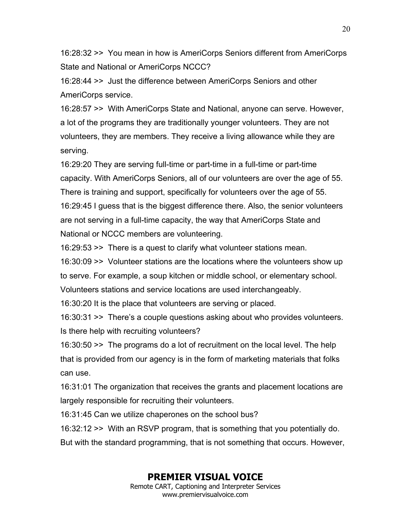16:28:32 >> You mean in how is AmeriCorps Seniors different from AmeriCorps State and National or AmeriCorps NCCC?

16:28:44 >> Just the difference between AmeriCorps Seniors and other AmeriCorps service.

16:28:57 >> With AmeriCorps State and National, anyone can serve. However, a lot of the programs they are traditionally younger volunteers. They are not volunteers, they are members. They receive a living allowance while they are serving.

16:29:20 They are serving full-time or part-time in a full-time or part-time capacity. With AmeriCorps Seniors, all of our volunteers are over the age of 55. There is training and support, specifically for volunteers over the age of 55. 16:29:45 I guess that is the biggest difference there. Also, the senior volunteers are not serving in a full-time capacity, the way that AmeriCorps State and National or NCCC members are volunteering.

16:29:53 >> There is a quest to clarify what volunteer stations mean.

16:30:09 >> Volunteer stations are the locations where the volunteers show up to serve. For example, a soup kitchen or middle school, or elementary school. Volunteers stations and service locations are used interchangeably.

16:30:20 It is the place that volunteers are serving or placed.

16:30:31 >> There's a couple questions asking about who provides volunteers. Is there help with recruiting volunteers?

16:30:50 >> The programs do a lot of recruitment on the local level. The help that is provided from our agency is in the form of marketing materials that folks can use.

16:31:01 The organization that receives the grants and placement locations are largely responsible for recruiting their volunteers.

16:31:45 Can we utilize chaperones on the school bus?

16:32:12 >> With an RSVP program, that is something that you potentially do.

But with the standard programming, that is not something that occurs. However,

# **PREMIER VISUAL VOICE**